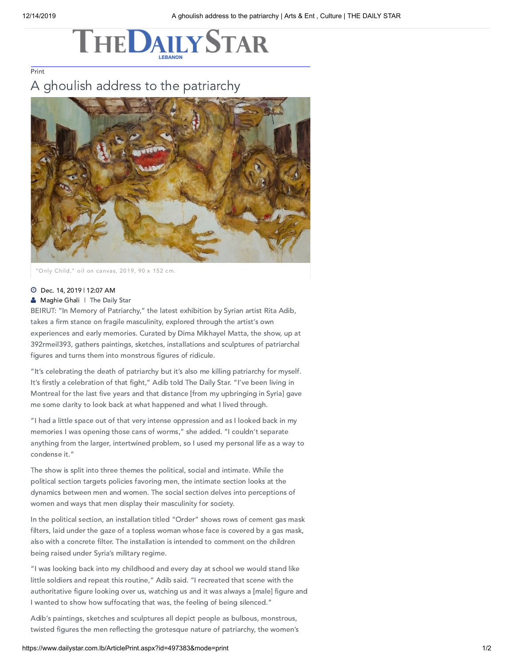## **THEDAILYSTAR**

[Print](javascript:print())

## A ghoulish address to the patriarchy



"Only Child," oil on canvas, 2019, 90 x 152 cm.

## Dec. 14, 2019 | 12:07 AM

**[Maghie](https://www.dailystar.com.lb/Maghie-Ghali.ashx) Ghali** | The Daily Star

BEIRUT: "In Memory of Patriarchy," the latest exhibition by Syrian artist Rita Adib, takes a firm stance on fragile masculinity, explored through the artist's own experiences and early memories. Curated by Dima Mikhayel Matta, the show, up at 392rmeil393, gathers paintings, sketches, installations and sculptures of patriarchal figures and turns them into monstrous figures of ridicule.

"It's celebrating the death of patriarchy but it's also me killing patriarchy for myself. It's firstly a celebration of that fight," Adib told The Daily Star. "I've been living in Montreal for the last five years and that distance [from my upbringing in Syria] gave me some clarity to look back at what happened and what I lived through.

"I had a little space out of that very intense oppression and as I looked back in my memories I was opening those cans of worms," she added. "I couldn't separate anything from the larger, intertwined problem, so I used my personal life as a way to condense it."

The show is split into three themes the political, social and intimate. While the political section targets policies favoring men, the intimate section looks at the dynamics between men and women. The social section delves into perceptions of women and ways that men display their masculinity for society.

In the political section, an installation titled "Order" shows rows of cement gas mask filters, laid under the gaze of a topless woman whose face is covered by a gas mask, also with a concrete filter. The installation is intended to comment on the children being raised under Syria's military regime.

"I was looking back into my childhood and every day at school we would stand like little soldiers and repeat this routine," Adib said. "I recreated that scene with the authoritative figure looking over us, watching us and it was always a [male] figure and I wanted to show how suffocating that was, the feeling of being silenced."

Adib's paintings, sketches and sculptures all depict people as bulbous, monstrous, twisted figures the men reflecting the grotesque nature of patriarchy, the women's